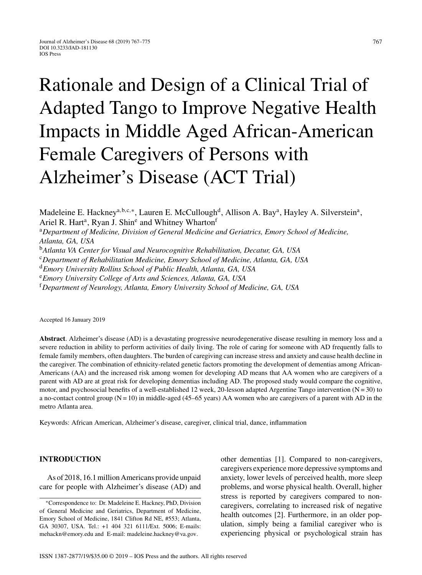# Rationale and Design of a Clinical Trial of Adapted Tango to Improve Negative Health Impacts in Middle Aged African-American Female Caregivers of Persons with Alzheimer's Disease (ACT Trial)

Madeleine E. Hackney<sup>a, b, c,\*</sup>, Lauren E. McCullough<sup>d</sup>, Allison A. Bay<sup>a</sup>, Hayley A. Silverstein<sup>a</sup>, Ariel R. Hart<sup>a</sup>, Ryan J. Shin<sup>e</sup> and Whitney Wharton<sup>f</sup>

<sup>a</sup>*Department of Medicine, Division of General Medicine and Geriatrics, Emory School of Medicine, Atlanta, GA, USA*

<sup>b</sup>*Atlanta VA Center for Visual and Neurocognitive Rehabilitation, Decatur, GA, USA*

<sup>c</sup>*Department of Rehabilitation Medicine, Emory School of Medicine, Atlanta, GA, USA*

<sup>d</sup>*Emory University Rollins School of Public Health, Atlanta, GA, USA*

<sup>e</sup>*Emory University College of Arts and Sciences, Atlanta, GA, USA*

<sup>f</sup>*Department of Neurology, Atlanta, Emory University School of Medicine, GA, USA*

Accepted 16 January 2019

**Abstract**. Alzheimer's disease (AD) is a devastating progressive neurodegenerative disease resulting in memory loss and a severe reduction in ability to perform activities of daily living. The role of caring for someone with AD frequently falls to female family members, often daughters. The burden of caregiving can increase stress and anxiety and cause health decline in the caregiver. The combination of ethnicity-related genetic factors promoting the development of dementias among African-Americans (AA) and the increased risk among women for developing AD means that AA women who are caregivers of a parent with AD are at great risk for developing dementias including AD. The proposed study would compare the cognitive, motor, and psychosocial benefits of a well-established 12 week, 20-lesson adapted Argentine Tango intervention  $(N = 30)$  to a no-contact control group  $(N = 10)$  in middle-aged (45–65 years) AA women who are caregivers of a parent with AD in the metro Atlanta area.

Keywords: African American, Alzheimer's disease, caregiver, clinical trial, dance, inflammation

# **INTRODUCTION**

As of 2018, 16.1 million Americans provide unpaid care for people with Alzheimer's disease (AD) and other dementias [1]. Compared to non-caregivers, caregivers experience more depressive symptoms and anxiety, lower levels of perceived health, more sleep problems, and worse physical health. Overall, higher stress is reported by caregivers compared to noncaregivers, correlating to increased risk of negative health outcomes [2]. Furthermore, in an older population, simply being a familial caregiver who is experiencing physical or psychological strain has

<sup>∗</sup>Correspondence to: Dr. Madeleine E. Hackney, PhD, Division of General Medicine and Geriatrics, Department of Medicine, Emory School of Medicine, 1841 Clifton Rd NE, #553; Atlanta, GA 30307, USA. Tel.: +1 404 321 6111/Ext. 5006; E-mails: [mehackn@emory.edu](mailto:mehackn@emory.edu) and E-mail: [madeleine.hackney@va.gov](mailto:madeleine.hackney@va.gov).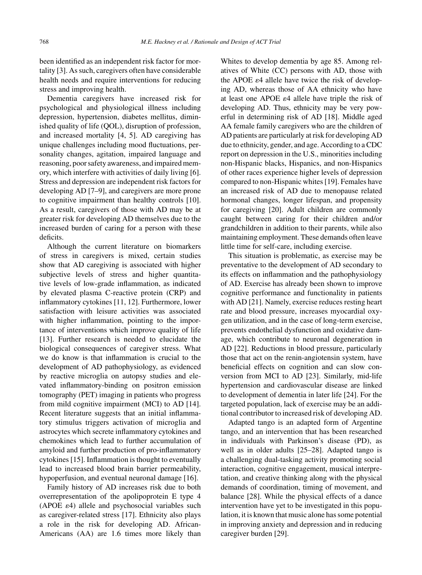been identified as an independent risk factor for mortality [3]. As such, caregivers often have considerable health needs and require interventions for reducing stress and improving health.

Dementia caregivers have increased risk for psychological and physiological illness including depression, hypertension, diabetes mellitus, diminished quality of life (QOL), disruption of profession, and increased mortality [4, 5]. AD caregiving has unique challenges including mood fluctuations, personality changes, agitation, impaired language and reasoning, poor safety awareness, and impaired memory, which interfere with activities of daily living [6]. Stress and depression are independent risk factors for developing AD [7–9], and caregivers are more prone to cognitive impairment than healthy controls [10]. As a result, caregivers of those with AD may be at greater risk for developing AD themselves due to the increased burden of caring for a person with these deficits.

Although the current literature on biomarkers of stress in caregivers is mixed, certain studies show that AD caregiving is associated with higher subjective levels of stress and higher quantitative levels of low-grade inflammation, as indicated by elevated plasma C-reactive protein (CRP) and inflammatory cytokines [11, 12]. Furthermore, lower satisfaction with leisure activities was associated with higher inflammation, pointing to the importance of interventions which improve quality of life [13]. Further research is needed to elucidate the biological consequences of caregiver stress. What we do know is that inflammation is crucial to the development of AD pathophysiology, as evidenced by reactive microglia on autopsy studies and elevated inflammatory-binding on positron emission tomography (PET) imaging in patients who progress from mild cognitive impairment (MCI) to AD [14]. Recent literature suggests that an initial inflammatory stimulus triggers activation of microglia and astrocytes which secrete inflammatory cytokines and chemokines which lead to further accumulation of amyloid and further production of pro-inflammatory cytokines [15]. Inflammation is thought to eventually lead to increased blood brain barrier permeability, hypoperfusion, and eventual neuronal damage [16].

Family history of AD increases risk due to both overrepresentation of the apolipoprotein E type 4  $(APOE \varepsilon 4)$  allele and psychosocial variables such as caregiver-related stress [17]. Ethnicity also plays a role in the risk for developing AD. African-Americans (AA) are 1.6 times more likely than Whites to develop dementia by age 85. Among relatives of White (CC) persons with AD, those with the APOE  $\varepsilon$ 4 allele have twice the risk of developing AD, whereas those of AA ethnicity who have at least one APOE  $\varepsilon$ 4 allele have triple the risk of developing AD. Thus, ethnicity may be very powerful in determining risk of AD [18]. Middle aged AA female family caregivers who are the children of AD patients are particularly at risk for developing AD due to ethnicity, gender, and age. According to a CDC report on depression in the U.S., minorities including non-Hispanic blacks, Hispanics, and non-Hispanics of other races experience higher levels of depression compared to non-Hispanic whites [19]. Females have an increased risk of AD due to menopause related hormonal changes, longer lifespan, and propensity for caregiving [20]. Adult children are commonly caught between caring for their children and/or grandchildren in addition to their parents, while also maintaining employment. These demands often leave little time for self-care, including exercise.

This situation is problematic, as exercise may be preventative to the development of AD secondary to its effects on inflammation and the pathophysiology of AD. Exercise has already been shown to improve cognitive performance and functionality in patients with AD [21]. Namely, exercise reduces resting heart rate and blood pressure, increases myocardial oxygen utilization, and in the case of long-term exercise, prevents endothelial dysfunction and oxidative damage, which contribute to neuronal degeneration in AD [22]. Reductions in blood pressure, particularly those that act on the renin-angiotensin system, have beneficial effects on cognition and can slow conversion from MCI to AD [23]. Similarly, mid-life hypertension and cardiovascular disease are linked to development of dementia in later life [24]. For the targeted population, lack of exercise may be an additional contributor to increased risk of developing AD.

Adapted tango is an adapted form of Argentine tango, and an intervention that has been researched in individuals with Parkinson's disease (PD), as well as in older adults [25–28]. Adapted tango is a challenging dual-tasking activity promoting social interaction, cognitive engagement, musical interpretation, and creative thinking along with the physical demands of coordination, timing of movement, and balance [28]. While the physical effects of a dance intervention have yet to be investigated in this population, it is known that music alone has some potential in improving anxiety and depression and in reducing caregiver burden [29].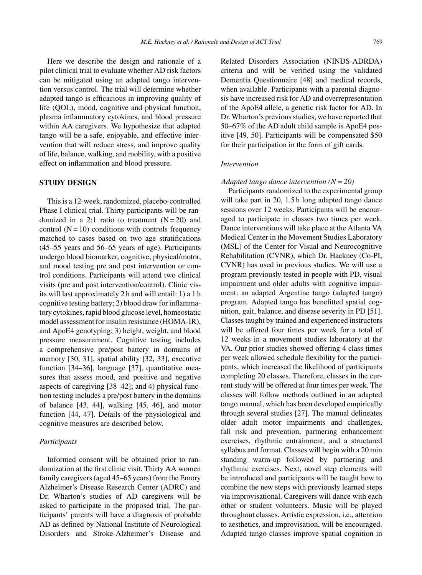Here we describe the design and rationale of a pilot clinical trial to evaluate whether AD risk factors can be mitigated using an adapted tango intervention versus control. The trial will determine whether adapted tango is efficacious in improving quality of life (QOL), mood, cognitive and physical function, plasma inflammatory cytokines, and blood pressure within AA caregivers. We hypothesize that adapted tango will be a safe, enjoyable, and effective intervention that will reduce stress, and improve quality of life, balance, walking, and mobility, with a positive effect on inflammation and blood pressure.

# **STUDY DESIGN**

This is a 12-week, randomized, placebo-controlled Phase I clinical trial. Thirty participants will be randomized in a 2:1 ratio to treatment  $(N = 20)$  and control  $(N = 10)$  conditions with controls frequency matched to cases based on two age stratifications (45–55 years and 56–65 years of age). Participants undergo blood biomarker, cognitive, physical/motor, and mood testing pre and post intervention or control conditions. Participants will attend two clinical visits (pre and post intervention/control). Clinic visits will last approximately 2 h and will entail: 1) a 1 h cognitive testing battery; 2) blood draw for inflammatory cytokines, rapid blood glucose level, homeostatic model assessment for insulin resistance (HOMA-IR), and ApoE4 genotyping; 3) height, weight, and blood pressure measurement. Cognitive testing includes a comprehensive pre/post battery in domains of memory [30, 31], spatial ability [32, 33], executive function [34–36], language [37], quantitative measures that assess mood, and positive and negative aspects of caregiving [38–42]; and 4) physical function testing includes a pre/post battery in the domains of balance [43, 44], walking [45, 46], and motor function [44, 47]. Details of the physiological and cognitive measures are described below.

#### *Participants*

Informed consent will be obtained prior to randomization at the first clinic visit. Thirty AA women family caregivers (aged 45–65 years) from the Emory Alzheimer's Disease Research Center (ADRC) and Dr. Wharton's studies of AD caregivers will be asked to participate in the proposed trial. The participants' parents will have a diagnosis of probable AD as defined by National Institute of Neurological Disorders and Stroke-Alzheimer's Disease and

Related Disorders Association (NINDS-ADRDA) criteria and will be verified using the validated Dementia Questionnaire [48] and medical records, when available. Participants with a parental diagnosis have increased risk for AD and overrepresentation of the ApoE4 allele, a genetic risk factor for AD. In Dr. Wharton's previous studies, we have reported that 50–67% of the AD adult child sample is ApoE4 positive [49, 50]. Participants will be compensated \$50 for their participation in the form of gift cards.

#### *Intervention*

## *Adapted tango dance intervention (N = 20)*

Participants randomized to the experimental group will take part in 20, 1.5 h long adapted tango dance sessions over 12 weeks. Participants will be encouraged to participate in classes two times per week. Dance interventions will take place at the Atlanta VA Medical Center in the Movement Studies Laboratory (MSL) of the Center for Visual and Neurocognitive Rehabilitation (CVNR), which Dr. Hackney (Co-PI, CVNR) has used in previous studies. We will use a program previously tested in people with PD, visual impairment and older adults with cognitive impairment: an adapted Argentine tango (adapted tango) program. Adapted tango has benefitted spatial cognition, gait, balance, and disease severity in PD [51]. Classes taught by trained and experienced instructors will be offered four times per week for a total of 12 weeks in a movement studies laboratory at the VA. Our prior studies showed offering 4 class times per week allowed schedule flexibility for the participants, which increased the likelihood of participants completing 20 classes. Therefore, classes in the current study will be offered at four times per week. The classes will follow methods outlined in an adapted tango manual, which has been developed empirically through several studies [27]. The manual delineates older adult motor impairments and challenges, fall risk and prevention, partnering enhancement exercises, rhythmic entrainment, and a structured syllabus and format. Classes will begin with a 20 min standing warm-up followed by partnering and rhythmic exercises. Next, novel step elements will be introduced and participants will be taught how to combine the new steps with previously learned steps via improvisational. Caregivers will dance with each other or student volunteers. Music will be played throughout classes. Artistic expression, i.e., attention to aesthetics, and improvisation, will be encouraged. Adapted tango classes improve spatial cognition in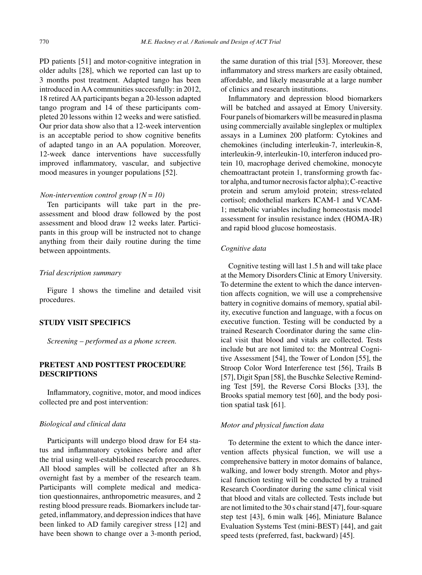PD patients [51] and motor-cognitive integration in older adults [28], which we reported can last up to 3 months post treatment. Adapted tango has been introduced in AA communities successfully: in 2012, 18 retired AA participants began a 20-lesson adapted tango program and 14 of these participants completed 20 lessons within 12 weeks and were satisfied. Our prior data show also that a 12-week intervention is an acceptable period to show cognitive benefits of adapted tango in an AA population. Moreover, 12-week dance interventions have successfully improved inflammatory, vascular, and subjective mood measures in younger populations [52].

#### *Non-intervention control group (N = 10)*

Ten participants will take part in the preassessment and blood draw followed by the post assessment and blood draw 12 weeks later. Participants in this group will be instructed not to change anything from their daily routine during the time between appointments.

## *Trial description summary*

Figure 1 shows the timeline and detailed visit procedures.

# **STUDY VISIT SPECIFICS**

*Screening* – *performed as a phone screen.*

# **PRETEST AND POSTTEST PROCEDURE DESCRIPTIONS**

Inflammatory, cognitive, motor, and mood indices collected pre and post intervention:

## *Biological and clinical data*

Participants will undergo blood draw for E4 status and inflammatory cytokines before and after the trial using well-established research procedures. All blood samples will be collected after an 8 h overnight fast by a member of the research team. Participants will complete medical and medication questionnaires, anthropometric measures, and 2 resting blood pressure reads. Biomarkers include targeted, inflammatory, and depression indices that have been linked to AD family caregiver stress [12] and have been shown to change over a 3-month period,

the same duration of this trial [53]. Moreover, these inflammatory and stress markers are easily obtained, affordable, and likely measurable at a large number of clinics and research institutions.

Inflammatory and depression blood biomarkers will be batched and assayed at Emory University. Four panels of biomarkers will be measured in plasma using commercially available singleplex or multiplex assays in a Luminex 200 platform: Cytokines and chemokines (including interleukin-7, interleukin-8, interleukin-9, interleukin-10, interferon induced protein 10, macrophage derived chemokine, monocyte chemoattractant protein 1, transforming growth factor alpha, and tumor necrosis factor alpha); C-reactive protein and serum amyloid protein; stress-related cortisol; endothelial markers ICAM-1 and VCAM-1; metabolic variables including homeostasis model assessment for insulin resistance index (HOMA-IR) and rapid blood glucose homeostasis.

# *Cognitive data*

Cognitive testing will last 1.5 h and will take place at the Memory Disorders Clinic at Emory University. To determine the extent to which the dance intervention affects cognition, we will use a comprehensive battery in cognitive domains of memory, spatial ability, executive function and language, with a focus on executive function. Testing will be conducted by a trained Research Coordinator during the same clinical visit that blood and vitals are collected. Tests include but are not limited to: the Montreal Cognitive Assessment [54], the Tower of London [55], the Stroop Color Word Interference test [56], Trails B [57], Digit Span [58], the Buschke Selective Reminding Test [59], the Reverse Corsi Blocks [33], the Brooks spatial memory test [60], and the body position spatial task [61].

#### *Motor and physical function data*

To determine the extent to which the dance intervention affects physical function, we will use a comprehensive battery in motor domains of balance, walking, and lower body strength. Motor and physical function testing will be conducted by a trained Research Coordinator during the same clinical visit that blood and vitals are collected. Tests include but are not limited to the 30 s chair stand [47], four-square step test [43], 6 min walk [46], Miniature Balance Evaluation Systems Test (mini-BEST) [44], and gait speed tests (preferred, fast, backward) [45].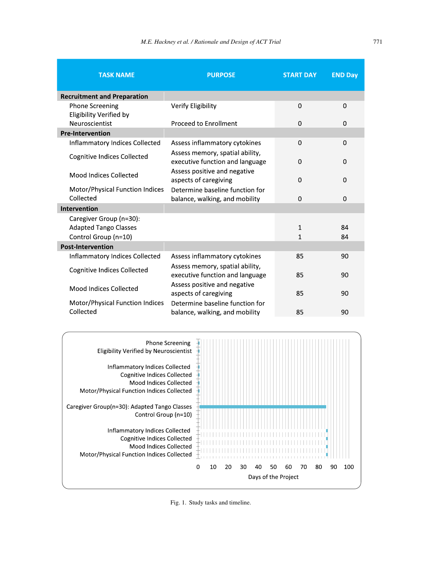| <b>TASK NAME</b>                                        | <b>PURPOSE</b>                                                     | <b>START DAY</b> | <b>END Day</b> |
|---------------------------------------------------------|--------------------------------------------------------------------|------------------|----------------|
|                                                         |                                                                    |                  |                |
| <b>Recruitment and Preparation</b>                      |                                                                    |                  |                |
| <b>Phone Screening</b><br>Eligibility Verified by       | Verify Eligibility                                                 | 0                | 0              |
| Neuroscientist                                          | Proceed to Enrollment                                              | $\Omega$         | 0              |
| <b>Pre-Intervention</b>                                 |                                                                    |                  |                |
| Inflammatory Indices Collected                          | Assess inflammatory cytokines                                      | $\mathbf 0$      | 0              |
| <b>Cognitive Indices Collected</b>                      | Assess memory, spatial ability,<br>executive function and language | $\mathbf 0$      | 0              |
| Mood Indices Collected                                  | Assess positive and negative<br>aspects of caregiving              | $\mathbf 0$      | 0              |
| Motor/Physical Function Indices<br>Collected            | Determine baseline function for<br>balance, walking, and mobility  | $\Omega$         | 0              |
| Intervention                                            |                                                                    |                  |                |
| Caregiver Group (n=30):<br><b>Adapted Tango Classes</b> |                                                                    | $\mathbf{1}$     | 84             |
| Control Group (n=10)                                    |                                                                    | $\mathbf{1}$     | 84             |
| <b>Post-Intervention</b>                                |                                                                    |                  |                |
| Inflammatory Indices Collected                          | Assess inflammatory cytokines                                      | 85               | 90             |
| <b>Cognitive Indices Collected</b>                      | Assess memory, spatial ability,<br>executive function and language | 85               | 90             |
| Mood Indices Collected                                  | Assess positive and negative<br>aspects of caregiving              | 85               | 90             |
| Motor/Physical Function Indices<br>Collected            | Determine baseline function for<br>balance, walking, and mobility  | 85               | 90             |
|                                                         |                                                                    |                  |                |



Fig. 1. Study tasks and timeline.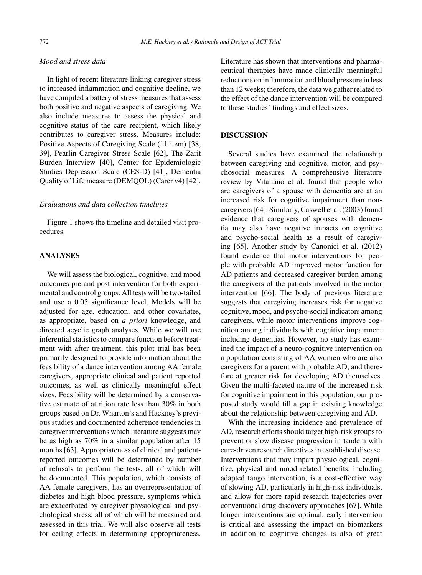# *Mood and stress data*

In light of recent literature linking caregiver stress to increased inflammation and cognitive decline, we have compiled a battery of stress measures that assess both positive and negative aspects of caregiving. We also include measures to assess the physical and cognitive status of the care recipient, which likely contributes to caregiver stress. Measures include: Positive Aspects of Caregiving Scale (11 item) [38, 39], Pearlin Caregiver Stress Scale [62], The Zarit Burden Interview [40], Center for Epidemiologic Studies Depression Scale (CES-D) [41], Dementia Quality of Life measure (DEMQOL) (Carer v4) [42].

#### *Evaluations and data collection timelines*

Figure 1 shows the timeline and detailed visit procedures.

# **ANALYSES**

We will assess the biological, cognitive, and mood outcomes pre and post intervention for both experimental and control groups. All tests will be two-tailed and use a 0.05 significance level. Models will be adjusted for age, education, and other covariates, as appropriate, based on *a priori* knowledge, and directed acyclic graph analyses. While we will use inferential statistics to compare function before treatment with after treatment, this pilot trial has been primarily designed to provide information about the feasibility of a dance intervention among AA female caregivers, appropriate clinical and patient reported outcomes, as well as clinically meaningful effect sizes. Feasibility will be determined by a conservative estimate of attrition rate less than 30% in both groups based on Dr. Wharton's and Hackney's previous studies and documented adherence tendencies in caregiver interventions which literature suggests may be as high as 70% in a similar population after 15 months [63]. Appropriateness of clinical and patientreported outcomes will be determined by number of refusals to perform the tests, all of which will be documented. This population, which consists of AA female caregivers, has an overrepresentation of diabetes and high blood pressure, symptoms which are exacerbated by caregiver physiological and psychological stress, all of which will be measured and assessed in this trial. We will also observe all tests for ceiling effects in determining appropriateness.

Literature has shown that interventions and pharmaceutical therapies have made clinically meaningful reductions on inflammation and blood pressure in less than 12 weeks; therefore, the data we gather related to the effect of the dance intervention will be compared to these studies' findings and effect sizes.

#### **DISCUSSION**

Several studies have examined the relationship between caregiving and cognitive, motor, and psychosocial measures. A comprehensive literature review by Vitaliano et al. found that people who are caregivers of a spouse with dementia are at an increased risk for cognitive impairment than noncaregivers [64]. Similarly, Caswell et al. (2003) found evidence that caregivers of spouses with dementia may also have negative impacts on cognitive and psycho-social health as a result of caregiving [65]. Another study by Canonici et al. (2012) found evidence that motor interventions for people with probable AD improved motor function for AD patients and decreased caregiver burden among the caregivers of the patients involved in the motor intervention [66]. The body of previous literature suggests that caregiving increases risk for negative cognitive, mood, and psycho-social indicators among caregivers, while motor interventions improve cognition among individuals with cognitive impairment including dementias. However, no study has examined the impact of a neuro-cognitive intervention on a population consisting of AA women who are also caregivers for a parent with probable AD, and therefore at greater risk for developing AD themselves. Given the multi-faceted nature of the increased risk for cognitive impairment in this population, our proposed study would fill a gap in existing knowledge about the relationship between caregiving and AD.

With the increasing incidence and prevalence of AD, research efforts should target high-risk groups to prevent or slow disease progression in tandem with cure-driven research directives in established disease. Interventions that may impart physiological, cognitive, physical and mood related benefits, including adapted tango intervention, is a cost-effective way of slowing AD, particularly in high-risk individuals, and allow for more rapid research trajectories over conventional drug discovery approaches [67]. While longer interventions are optimal, early intervention is critical and assessing the impact on biomarkers in addition to cognitive changes is also of great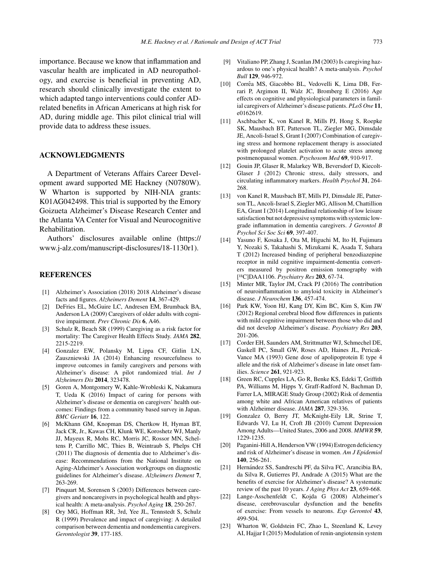importance. Because we know that inflammation and vascular health are implicated in AD neuropathology, and exercise is beneficial in preventing AD, research should clinically investigate the extent to which adapted tango interventions could confer ADrelated benefits in African Americans at high risk for AD, during middle age. This pilot clinical trial will provide data to address these issues.

## **ACKNOWLEDGMENTS**

A Department of Veterans Affairs Career Development award supported ME Hackney (N0780W). W Wharton is supported by NIH-NIA grants: K01AG042498. This trial is supported by the Emory Goizueta Alzheimer's Disease Research Center and the Atlanta VA Center for Visual and Neurocognitive Rehabilitation.

Authors' disclosures available online ([https://](https://www.j-alz.com/manuscript-disclosures/18-1130r1) [www.j-alz.com/manuscript-disclosures/18-1130r1\)](https://www.j-alz.com/manuscript-disclosures/18-1130r1).

#### **REFERENCES**

- [1] Alzheimer's Association (2018) 2018 Alzheimer's disease facts and figures. *Alzheimers Dement* **14**, 367-429.
- [2] DeFries EL, McGuire LC, Andresen EM, Brumback BA, Anderson LA (2009) Caregivers of older adults with cognitive impairment. *Prev Chronic Dis* **6**, A46.
- [3] Schulz R, Beach SR (1999) Caregiving as a risk factor for mortality: The Caregiver Health Effects Study. *JAMA* **282**, 2215-2219.
- [4] Gonzalez EW, Polansky M, Lippa CF, Gitlin LN, Zauszniewski JA (2014) Enhancing resourcefulness to improve outcomes in family caregivers and persons with Alzheimer's disease: A pilot randomized trial. *Int J Alzheimers Dis* **2014**, 323478.
- [5] Goren A, Montgomery W, Kahle-Wrobleski K, Nakamura T, Ueda K (2016) Impact of caring for persons with Alzheimer's disease or dementia on caregivers' health outcomes: Findings from a community based survey in Japan. *BMC Geriatr* **16**, 122.
- [6] McKhann GM, Knopman DS, Chertkow H, Hyman BT, Jack CR, Jr., Kawas CH, Klunk WE, Koroshetz WJ, Manly JJ, Mayeux R, Mohs RC, Morris JC, Rossor MN, Scheltens P, Carrillo MC, Thies B, Weintraub S, Phelps CH (2011) The diagnosis of dementia due to Alzheimer's disease: Recommendations from the National Institute on Aging-Alzheimer's Association workgroups on diagnostic guidelines for Alzheimer's disease. *Alzheimers Dement* **7**, 263-269.
- [7] Pinquart M, Sorensen S (2003) Differences between caregivers and noncaregivers in psychological health and physical health: A meta-analysis. *Psychol Aging* **18**, 250-267.
- [8] Ory MG, Hoffman RR, 3rd, Yee JL, Tennstedt S, Schulz R (1999) Prevalence and impact of caregiving: A detailed comparison between dementia and nondementia caregivers. *Gerontologist* **39**, 177-185.
- [9] Vitaliano PP, Zhang J, Scanlan JM (2003) Is caregiving hazardous to one's physical health? A meta-analysis. *Psychol Bull* **129**, 946-972.
- [10] Corrêa MS, Giacobbo BL, Vedovelli K, Lima DB, Ferrari P, Argimon II, Walz JC, Bromberg E (2016) Age effects on cognitive and physiological parameters in familial caregivers of Alzheimer's disease patients. *PLoS One* **11**, e0162619.
- [11] Aschbacher K, von Kanel R, Mills PJ, Hong S, Roepke SK, Mausbach BT, Patterson TL, Ziegler MG, Dimsdale JE, Ancoli-Israel S, Grant I (2007) Combination of caregiving stress and hormone replacement therapy is associated with prolonged platelet activation to acute stress among postmenopausal women. *Psychosom Med* **69**, 910-917.
- [12] Gouin JP, Glaser R, Malarkey WB, Beversdorf D, Kiecolt-Glaser J (2012) Chronic stress, daily stressors, and circulating inflammatory markers. *Health Psychol* **31**, 264- 268.
- [13] von Kanel R, Mausbach BT, Mills PJ, Dimsdale JE, Patterson TL, Ancoli-Israel S, Ziegler MG, Allison M, Chattillion EA, Grant I (2014) Longitudinal relationship of low leisure satisfaction but not depressive symptoms with systemic lowgrade inflammation in dementia caregivers. *J Gerontol B Psychol Sci Soc Sci* **69**, 397-407.
- [14] Yasuno F, Kosaka J, Ota M, Higuchi M, Ito H, Fujimura Y, Nozaki S, Takahashi S, Mizukami K, Asada T, Suhara T (2012) Increased binding of peripheral benzodiazepine receptor in mild cognitive impairment-dementia converters measured by positron emission tomography with [<sup>11</sup>C]DAA1106. *Psychiatry Res* 203, 67-74.
- [15] Minter MR, Taylor JM, Crack PJ (2016) The contribution of neuroinflammation to amyloid toxicity in Alzheimer's disease. *J Neurochem* **136**, 457-474.
- [16] Park KW, Yoon HJ, Kang DY, Kim BC, Kim S, Kim JW (2012) Regional cerebral blood flow differences in patients with mild cognitive impairment between those who did and did not develop Alzheimer's disease. *Psychiatry Res* **203**, 201-206.
- [17] Corder EH, Saunders AM, Strittmatter WJ, Schmechel DE, Gaskell PC, Small GW, Roses AD, Haines JL, Pericak-Vance MA (1993) Gene dose of apolipoprotein E type 4 allele and the risk of Alzheimer's disease in late onset families. *Science* **261**, 921-923.
- [18] Green RC, Cupples LA, Go R, Benke KS, Edeki T, Griffith PA, Williams M, Hipps Y, Graff-Radford N, Bachman D, Farrer LA, MIRAGE Study Group (2002) Risk of dementia among white and African American relatives of patients with Alzheimer disease. *JAMA* **287**, 329-336.
- [19] Gonzalez O, Berry JT, McKnight-Eily LR, Strine T, Edwards VJ, Lu H, Croft JB (2010) Current Depression Among Adults—United States, 2006 and 2008. *MMWR* **59**, 1229-1235.
- [20] Paganini-Hill A, Henderson VW (1994) Estrogen deficiency and risk of Alzheimer's disease in women. *Am J Epidemiol* **140**, 256-261.
- [21] Hernández SS, Sandreschi PF, da Silva FC, Arancibia BA, da Silva R, Gutierres PJ, Andrade A (2015) What are the benefits of exercise for Alzheimer's disease? A systematic review of the past 10 years. *J Aging Phys Act* **23**, 659-668.
- [22] Lange-Asschenfeldt C, Kojda G (2008) Alzheimer's disease, cerebrovascular dysfunction and the benefits of exercise: From vessels to neurons. *Exp Gerontol* **43**, 499-504.
- [23] Wharton W, Goldstein FC, Zhao L, Steenland K, Levey AI, Hajjar I (2015) Modulation of renin-angiotensin system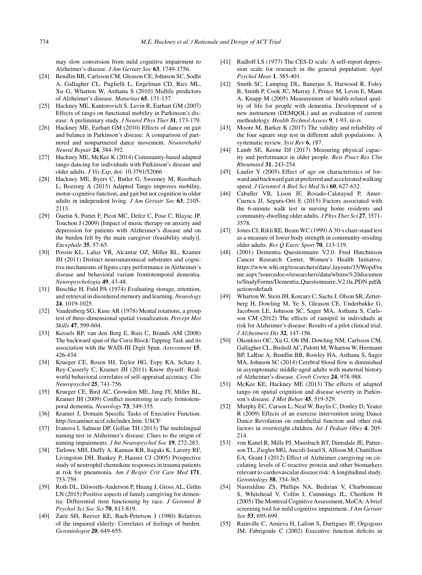may slow conversion from mild cognitive impairment to Alzheimer's disease. *J Am Geriatr Soc* **63**, 1749-1756.

- [24] Bendlin BB, Carlsson CM, Gleason CE, Johnson SC, Sodhi A, Gallagher CL, Puglielli L, Engelman CD, Ries ML, Xu G, Wharton W, Asthana S (2010) Midlife predictors of Alzheimer's disease. *Maturitas* **65**, 131-137.
- [25] Hackney ME, Kantorovich S, Levin R, Earhart GM (2007) Effects of tango on functional mobility in Parkinson's disease: A preliminary study. *J Neurol Phys Ther* **31**, 173-179.
- [26] Hackney ME, Earhart GM (2010) Effects of dance on gait and balance in Parkinson's disease: A comparison of partnered and nonpartnered dance movement. *Neurorehabil Neural Repair* **24**, 384-392.
- [27] Hackney ME, McKee K (2014) Community-based adapted tango dancing for individuals with Parkinson's disease and older adults. *J Vis Exp*, doi: 10.3791/52066
- [28] Hackney ME, Byers C, Butler G, Sweeney M, Rossbach L, Bozzorg A (2015) Adapted Tango improves mobility, motor-cognitive function, and gait but not cognition in older adults in independent living. *J Am Geriatr Soc* **63**, 2105- 2113.
- [29] Guetin S, Portet F, Picot MC, Defez C, Pose C, Blayac JP, Touchon J (2009) [Impact of music therapy on anxiety and depression for patients with Alzheimer's disease and on the burden felt by the main caregiver (feasibility study)]. *Encephale* **35**, 57-65.
- [30] Possin KL, Laluz VR, Alcantar OZ, Miller BL, Kramer JH (2011) Distinct neuroanatomical substrates and cognitive mechanisms of figure copy performance in Alzheimer's disease and behavioral variant frontotemporal dementia. *Neuropsychologia* **49**, 43-48.
- [31] Buschke H, Fuld PA (1974) Evaluating storage, retention, and retrieval in disordered memory and learning. *Neurology* **24**, 1019-1025.
- [32] Vandenberg SG, Kuse AR (1978) Mental rotations, a group test of three-dimensional spatial visualization. *Percept Mot Skills* **47**, 599-604.
- [33] Kessels RP, van den Berg E, Ruis C, Brands AM (2008) The backward span of the Corsi Block-Tapping Task and its association with the WAIS-III Digit Span. *Assessment* **15**, 426-434.
- [34] Krueger CE, Rosen HJ, Taylor HG, Espy KA, Schatz J, Rey-Casserly C, Kramer JH (2011) Know thyself: Realworld behavioral correlates of self-appraisal accuracy. *Clin Neuropsychol* **25**, 741-756.
- [35] Krueger CE, Bird AC, Growdon ME, Jang JY, Miller BL, Kramer JH (2009) Conflict monitoring in early frontotemporal dementia. *Neurology* **73**, 349-355.
- [36] Kramer J, Domain Specific Tasks of Executive Function. <http://examiner.ucsf.edu/index.htm>. USCF
- [37] Ivanova I, Salmon DP, Gollan TH (2013) The multilingual naming test in Alzheimer's disease: Clues to the origin of naming impairments. *J Int Neuropsychol Soc* **19**, 272-283.
- [38] Tarlowe MH, Duffy A, Kannan KB, Itagaki K, Lavery RF, Livingston DH, Bankey P, Hauser CJ (2005) Prospective study of neutrophil chemokine responses in trauma patients at risk for pneumonia. *Am J Respir Crit Care Med* **171**, 753-759.
- [39] Roth DL, Dilworth-Anderson P, Huang J, Gross AL, Gitlin LN (2015) Positive aspects of family caregiving for dementia: Differential item functioning by race. *J Gerontol B Psychol Sci Soc Sci* **70**, 813-819.
- [40] Zarit SH, Reever KE, Bach-Peterson J (1980) Relatives of the impaired elderly: Correlates of feelings of burden. *Gerontologist* **20**, 649-655.
- [41] Radloff LS (1977) The CES-D scale: A self-report depression scale for research in the general population. *Appl Psychol Meas* **1**, 385-401.
- [42] Smith SC, Lamping DL, Banerjee S, Harwood R, Foley B, Smith P, Cook JC, Murray J, Prince M, Levin E, Mann A, Knapp M (2005) Measurement of health-related quality of life for people with dementia: Development of a new instrument (DEMQOL) and an evaluation of current methodology. *Health Technol Assess* **9**, 1-93, iii-iv.
- [43] Moore M, Barker K (2017) The validity and reliability of the four square step test in different adult populations: A systematic review. *Syst Rev* **6**, 187.
- [44] Lamb SE, Keene DJ (2017) Measuring physical capacity and performance in older people. *Best Pract Res Clin Rheumatol* **31**, 243-254.
- [45] Laufer Y (2005) Effect of age on characteristics of forward and backward gait at preferred and accelerated walking speed. *J Gerontol A Biol Sci Med Sci* **60**, 627-632.
- [46] Caballer VB, Lison JF, Rosado-Calatayud P, Amer-Cuenca JJ, Segura-Orti E (2015) Factors associated with the 6-minute walk test in nursing home residents and community-dwelling older adults. *J Phys Ther Sci* **27**, 3571- 3578.
- [47] Jones CJ, Rikli RE, Beam WC (1999) A 30-s chair-stand test as a measure of lower body strength in community-residing older adults. *Res Q Exerc Sport* **70**, 113-119.
- [48] (2001) Dementia Questionnaire V2.0. Fred Hutchinson Cancer Research Center, Women's Health Initiative, [https://www.whi.org/researchers/data/](https://www.whi.org/researchers/data/_layouts/15/WopiFrame.aspx?sourcedoc=/researchers/data/whims%20documents/StudyForms/Dementia_Questionnaire_V2.0a_PDN.pdf&action=default) layouts/15/WopiFra me.aspx?sourcedoc=/researchers/data/whims%20documen ts/StudyForms/Dementia\_Questionnaire\_V2.0a\_PDN.pdf& action=default
- [49] Wharton W, Stein JH, Korcarz C, Sachs J, Olson SR, Zetterberg H, Dowling M, Ye S, Gleason CE, Underbakke G, Jacobson LE, Johnson SC, Sager MA, Asthana S, Carlsson CM (2012) The effects of ramipril in individuals at risk for Alzheimer's disease: Results of a pilot clinical trial. *J Alzheimers Dis* **32**, 147-156.
- [50] Okonkwo OC, Xu G, Oh JM, Dowling NM, Carlsson CM, Gallagher CL, Birdsill AC, Palotti M, Wharton W, Hermann BP, LaRue A, Bendlin BB, Rowley HA, Asthana S, Sager MA, Johnson SC (2014) Cerebral blood flow is diminished in asymptomatic middle-aged adults with maternal history of Alzheimer's disease. *Cereb Cortex* **24**, 978-988.
- [51] McKee KE, Hackney ME (2013) The effects of adapted tango on spatial cognition and disease severity in Parkinson's disease. *J Mot Behav* **45**, 519-529.
- [52] Murphy EC, Carson L, Neal W, Baylis C, Donley D, Yeater R (2009) Effects of an exercise intervention using Dance Dance Revolution on endothelial function and other risk factors in overweight children. *Int J Pediatr Obes* **4**, 205- 214.
- [53] von Kanel R, Mills PJ, Mausbach BT, Dimsdale JE, Patterson TL, Ziegler MG, Ancoli-Israel S, Allison M, Chattillion EA, Grant I (2012) Effect of Alzheimer caregiving on circulating levels of C-reactive protein and other biomarkers relevant to cardiovascular disease risk: A longitudinal study. *Gerontology* **58**, 354-365.
- [54] Nasreddine ZS, Phillips NA, Bedirian V, Charbonneau S, Whitehead V, Collin I, Cummings JL, Chertkow H (2005) The Montreal Cognitive Assessment, MoCA: A brief screening tool for mild cognitive impairment. *J Am Geriatr Soc* **53**, 695-699.
- [55] Rainville C, Amieva H, Lafont S, Dartigues JF, Orgogozo JM, Fabrigoule C (2002) Executive function deficits in